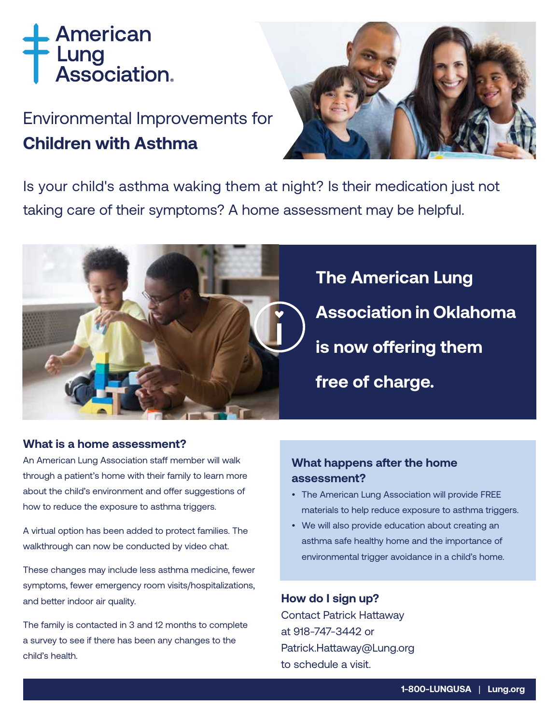# American Lung<br>Association.

## Environmental Improvements for **Children with Asthma**



Is your child's asthma waking them at night? Is their medication just not taking care of their symptoms? A home assessment may be helpful.



#### **What is a home assessment?**

An American Lung Association staff member will walk through a patient's home with their family to learn more about the child's environment and offer suggestions of how to reduce the exposure to asthma triggers.

A virtual option has been added to protect families. The walkthrough can now be conducted by video chat.

These changes may include less asthma medicine, fewer symptoms, fewer emergency room visits/hospitalizations, and better indoor air quality.

The family is contacted in 3 and 12 months to complete a survey to see if there has been any changes to the child's health.

#### **What happens after the home assessment?**

- The American Lung Association will provide FREE materials to help reduce exposure to asthma triggers.
- We will also provide education about creating an asthma safe healthy home and the importance of environmental trigger avoidance in a child's home.

#### **How do I sign up?**

Contact Patrick Hattaway at 918-747-3442 or Patrick.Hattaway@Lung.org to schedule a visit.